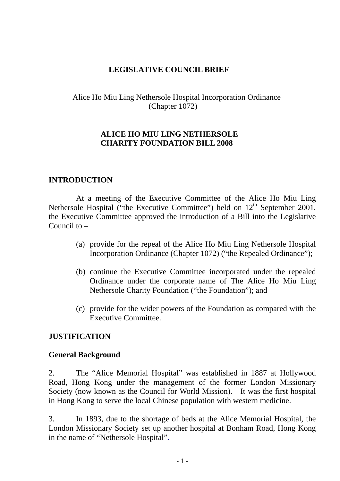## **LEGISLATIVE COUNCIL BRIEF**

Alice Ho Miu Ling Nethersole Hospital Incorporation Ordinance (Chapter 1072)

### **ALICE HO MIU LING NETHERSOLE CHARITY FOUNDATION BILL 2008**

### **INTRODUCTION**

At a meeting of the Executive Committee of the Alice Ho Miu Ling Nethersole Hospital ("the Executive Committee") held on 12<sup>th</sup> September 2001, the Executive Committee approved the introduction of a Bill into the Legislative Council to –

- (a) provide for the repeal of the Alice Ho Miu Ling Nethersole Hospital Incorporation Ordinance (Chapter 1072) ("the Repealed Ordinance");
- (b) continue the Executive Committee incorporated under the repealed Ordinance under the corporate name of The Alice Ho Miu Ling Nethersole Charity Foundation ("the Foundation"); and
- (c) provide for the wider powers of the Foundation as compared with the Executive Committee.

## **JUSTIFICATION**

#### **General Background**

2. The "Alice Memorial Hospital" was established in 1887 at Hollywood Road, Hong Kong under the management of the former London Missionary Society (now known as the Council for World Mission). It was the first hospital in Hong Kong to serve the local Chinese population with western medicine.

3. In 1893, due to the shortage of beds at the Alice Memorial Hospital, the London Missionary Society set up another hospital at Bonham Road, Hong Kong in the name of "Nethersole Hospital".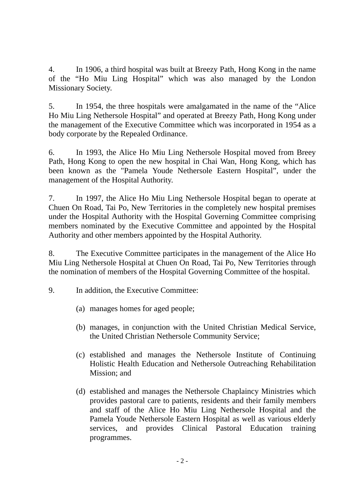4. In 1906, a third hospital was built at Breezy Path, Hong Kong in the name of the "Ho Miu Ling Hospital" which was also managed by the London Missionary Society.

5. In 1954, the three hospitals were amalgamated in the name of the "Alice Ho Miu Ling Nethersole Hospital" and operated at Breezy Path, Hong Kong under the management of the Executive Committee which was incorporated in 1954 as a body corporate by the Repealed Ordinance.

6. In 1993, the Alice Ho Miu Ling Nethersole Hospital moved from Breey Path, Hong Kong to open the new hospital in Chai Wan, Hong Kong, which has been known as the "Pamela Youde Nethersole Eastern Hospital", under the management of the Hospital Authority.

7. In 1997, the Alice Ho Miu Ling Nethersole Hospital began to operate at Chuen On Road, Tai Po, New Territories in the completely new hospital premises under the Hospital Authority with the Hospital Governing Committee comprising members nominated by the Executive Committee and appointed by the Hospital Authority and other members appointed by the Hospital Authority.

8. The Executive Committee participates in the management of the Alice Ho Miu Ling Nethersole Hospital at Chuen On Road, Tai Po, New Territories through the nomination of members of the Hospital Governing Committee of the hospital.

- 9. In addition, the Executive Committee:
	- (a) manages homes for aged people;
	- (b) manages, in conjunction with the United Christian Medical Service, the United Christian Nethersole Community Service;
	- (c) established and manages the Nethersole Institute of Continuing Holistic Health Education and Nethersole Outreaching Rehabilitation Mission; and
	- (d) established and manages the Nethersole Chaplaincy Ministries which provides pastoral care to patients, residents and their family members and staff of the Alice Ho Miu Ling Nethersole Hospital and the Pamela Youde Nethersole Eastern Hospital as well as various elderly services, and provides Clinical Pastoral Education training programmes.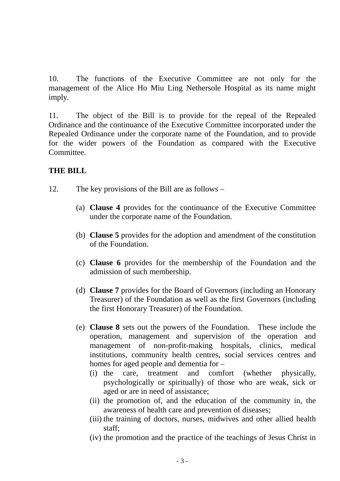10. The functions of the Executive Committee are not only for the management of the Alice Ho Miu Ling Nethersole Hospital as its name might imply.

11. The object of the Bill is to provide for the repeal of the Repealed Ordinance and the continuance of the Executive Committee incorporated under the Repealed Ordinance under the corporate name of the Foundation, and to provide for the wider powers of the Foundation as compared with the Executive Committee.

### **THE BILL**

- 12. The key provisions of the Bill are as follows
	- (a) **Clause 4** provides for the continuance of the Executive Committee under the corporate name of the Foundation.
	- (b) **Clause 5** provides for the adoption and amendment of the constitution of the Foundation.
	- (c) **Clause 6** provides for the membership of the Foundation and the admission of such membership.
	- (d) **Clause 7** provides for the Board of Governors (including an Honorary Treasurer) of the Foundation as well as the first Governors (including the first Honorary Treasurer) of the Foundation.
	- (e) **Clause 8** sets out the powers of the Foundation. These include the operation, management and supervision of the operation and management of non-profit-making hospitals, clinics, medical institutions, community health centres, social services centres and homes for aged people and dementia for –
		- (i) the care, treatment and comfort (whether physically, psychologically or spiritually) of those who are weak, sick or aged or are in need of assistance;
		- (ii) the promotion of, and the education of the community in, the awareness of health care and prevention of diseases;
		- (iii) the training of doctors, nurses, midwives and other allied health staff;
		- (iv) the promotion and the practice of the teachings of Jesus Christ in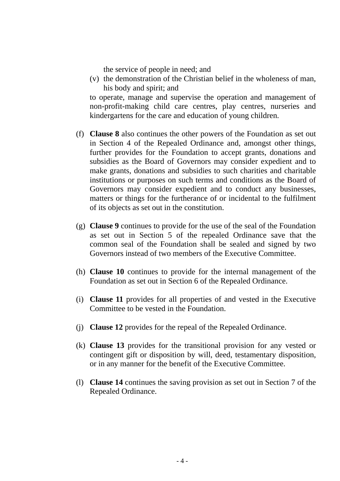the service of people in need; and

(v) the demonstration of the Christian belief in the wholeness of man, his body and spirit; and

to operate, manage and supervise the operation and management of non-profit-making child care centres, play centres, nurseries and kindergartens for the care and education of young children.

- (f) **Clause 8** also continues the other powers of the Foundation as set out in Section 4 of the Repealed Ordinance and, amongst other things, further provides for the Foundation to accept grants, donations and subsidies as the Board of Governors may consider expedient and to make grants, donations and subsidies to such charities and charitable institutions or purposes on such terms and conditions as the Board of Governors may consider expedient and to conduct any businesses, matters or things for the furtherance of or incidental to the fulfilment of its objects as set out in the constitution.
- (g) **Clause 9** continues to provide for the use of the seal of the Foundation as set out in Section 5 of the repealed Ordinance save that the common seal of the Foundation shall be sealed and signed by two Governors instead of two members of the Executive Committee.
- (h) **Clause 10** continues to provide for the internal management of the Foundation as set out in Section 6 of the Repealed Ordinance.
- (i) **Clause 11** provides for all properties of and vested in the Executive Committee to be vested in the Foundation.
- (j) **Clause 12** provides for the repeal of the Repealed Ordinance.
- (k) **Clause 13** provides for the transitional provision for any vested or contingent gift or disposition by will, deed, testamentary disposition, or in any manner for the benefit of the Executive Committee.
- (l) **Clause 14** continues the saving provision as set out in Section 7 of the Repealed Ordinance.